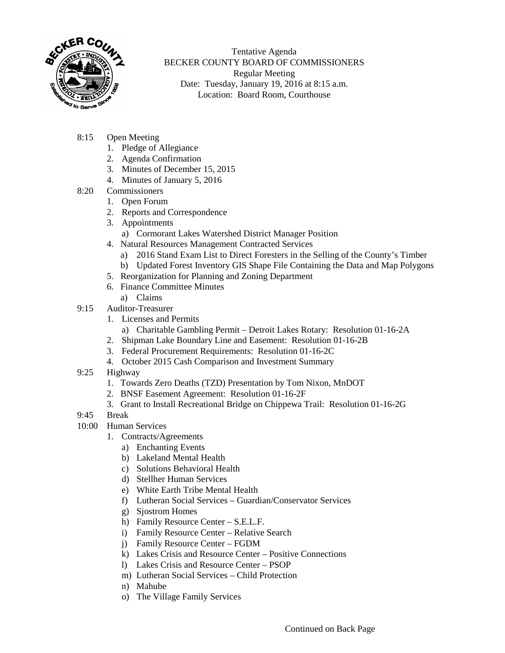

Tentative Agenda BECKER COUNTY BOARD OF COMMISSIONERS Regular Meeting Date: Tuesday, January 19, 2016 at 8:15 a.m. Location: Board Room, Courthouse

- 8:15 Open Meeting
	- 1. Pledge of Allegiance
	- 2. Agenda Confirmation
	- 3. Minutes of December 15, 2015
	- 4. Minutes of January 5, 2016
- 8:20 Commissioners
	- 1. Open Forum
	- 2. Reports and Correspondence
	- 3. Appointments
		- a) Cormorant Lakes Watershed District Manager Position
	- 4. Natural Resources Management Contracted Services
		- a) 2016 Stand Exam List to Direct Foresters in the Selling of the County's Timber
		- b) Updated Forest Inventory GIS Shape File Containing the Data and Map Polygons
	- 5. Reorganization for Planning and Zoning Department
	- 6. Finance Committee Minutes
		- a) Claims
- 9:15 Auditor-Treasurer
	- 1. Licenses and Permits
		- a) Charitable Gambling Permit Detroit Lakes Rotary: Resolution 01-16-2A
	- 2. Shipman Lake Boundary Line and Easement: Resolution 01-16-2B
	- 3. Federal Procurement Requirements: Resolution 01-16-2C
	- 4. October 2015 Cash Comparison and Investment Summary
- 9:25 Highway
	- 1. Towards Zero Deaths (TZD) Presentation by Tom Nixon, MnDOT
	- 2. BNSF Easement Agreement: Resolution 01-16-2F
	- 3. Grant to Install Recreational Bridge on Chippewa Trail: Resolution 01-16-2G
- 9:45 Break
- 10:00 Human Services
	- 1. Contracts/Agreements
		- a) Enchanting Events
		- b) Lakeland Mental Health
		- c) Solutions Behavioral Health
		- d) Stellher Human Services
		- e) White Earth Tribe Mental Health
		- f) Lutheran Social Services Guardian/Conservator Services
		- g) Sjostrom Homes
		- h) Family Resource Center S.E.L.F.
		- i) Family Resource Center Relative Search
		- j) Family Resource Center FGDM
		- k) Lakes Crisis and Resource Center Positive Connections
		- l) Lakes Crisis and Resource Center PSOP
		- m) Lutheran Social Services Child Protection
		- n) Mahube
		- o) The Village Family Services